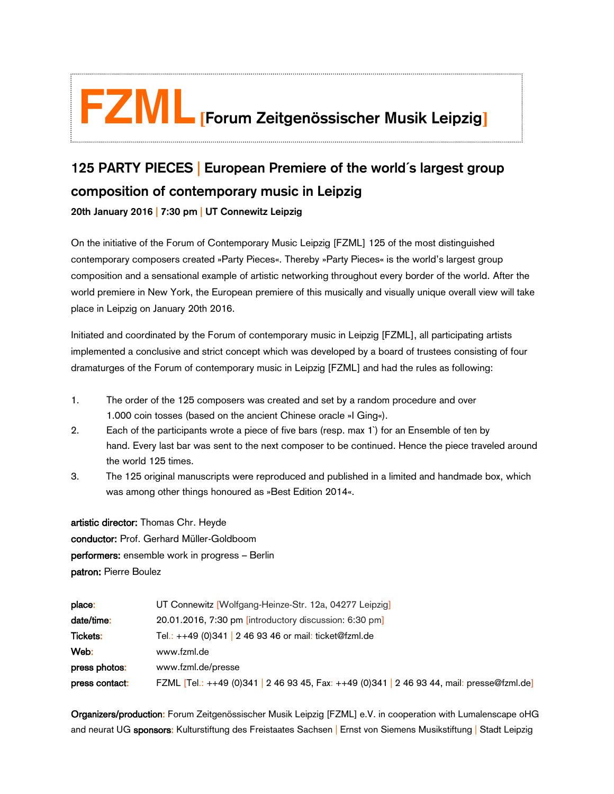## **FZML[Forum Zeitgenössischer Musik Leipzig]**

## **125 PARTY PIECES** | **European Premiere of the world´s largest group composition of contemporary music in Leipzig**

**20th January 2016 | 7:30 pm | UT Connewitz Leipzig**

ľ i<br>:

On the initiative of the [Forum of Contemporary Music Leipzig \[FZML\]](http://www.fzml.de/) 125 of the most distinguished contemporary composers created »Party Pieces«. Thereby »Party Pieces« is the world's largest group composition and a sensational example of artistic networking throughout every border of the world. After the world premiere in New York, the European premiere of this musically and visually unique overall view will take place in Leipzig on January 20th 2016.

Initiated and coordinated by the Forum of contemporary music in Leipzig [FZML], all participating artists implemented a conclusive and strict concept which was developed by a board of trustees consisting of four dramaturges of the Forum of contemporary music in Leipzig [FZML] and had the rules as following:

- 1. The order of the 125 composers was created and set by a random procedure and over 1.000 coin tosses (based on the ancient Chinese oracle »I Ging«).
- 2. Each of the participants wrote a piece of five bars (resp. max 1`) for an Ensemble of ten by hand. Every last bar was sent to the next composer to be continued. Hence the piece traveled around the world 125 times.
- 3. The 125 original manuscripts were reproduced and published in a limited and handmade box, which was among other things honoured as »Best Edition 2014«.

artistic director: Thomas Chr. Heyde conductor: Prof. Gerhard Müller-Goldboom performers: ensemble work in progress – Berlin patron: Pierre Boulez

| place:          | UT Connewitz [Wolfgang-Heinze-Str. 12a, 04277 Leipzig]                                     |
|-----------------|--------------------------------------------------------------------------------------------|
| date/time:      | 20.01.2016, 7:30 pm [introductory discussion: 6:30 pm]                                     |
| <b>Tickets:</b> | Tel.: ++49 (0)341   2 46 93 46 or mail: ticket@fzml.de                                     |
| Web:            | www.fzml.de                                                                                |
| press photos:   | www.fzml.de/presse                                                                         |
| press contact:  | FZML [Tel.: ++49 (0)341   2 46 93 45, Fax: ++49 (0)341   2 46 93 44, mail: presse@fzml.de] |

Organizers/production: Forum Zeitgenössischer Musik Leipzig [FZML] e.V. in cooperation with Lumalenscape oHG and neurat UG sponsors: Kulturstiftung des Freistaates Sachsen Ernst von Siemens Musikstiftung | Stadt Leipzig